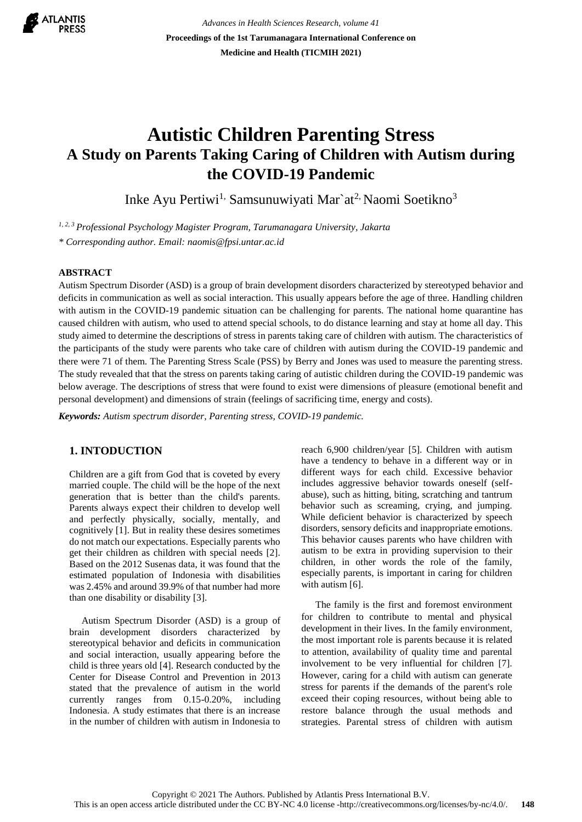

*Advances in Health Sciences Research, volume 41* **Proceedings of the 1st Tarumanagara International Conference on Medicine and Health (TICMIH 2021)**

# **Autistic Children Parenting Stress A Study on Parents Taking Caring of Children with Autism during the COVID-19 Pandemic**

Inke Ayu Pertiwi<sup>1,</sup> Samsunuwiyati Mar`at<sup>2,</sup> Naomi Soetikno<sup>3</sup>

*1, 2, 3 Professional Psychology Magister Program, Tarumanagara University, Jakarta*

*\* Corresponding author. Email: naomis@fpsi.untar.ac.id*

## **ABSTRACT**

Autism Spectrum Disorder (ASD) is a group of brain development disorders characterized by stereotyped behavior and deficits in communication as well as social interaction. This usually appears before the age of three. Handling children with autism in the COVID-19 pandemic situation can be challenging for parents. The national home quarantine has caused children with autism, who used to attend special schools, to do distance learning and stay at home all day. This study aimed to determine the descriptions of stress in parents taking care of children with autism. The characteristics of the participants of the study were parents who take care of children with autism during the COVID-19 pandemic and there were 71 of them. The Parenting Stress Scale (PSS) by Berry and Jones was used to measure the parenting stress. The study revealed that that the stress on parents taking caring of autistic children during the COVID-19 pandemic was below average. The descriptions of stress that were found to exist were dimensions of pleasure (emotional benefit and personal development) and dimensions of strain (feelings of sacrificing time, energy and costs).

*Keywords: Autism spectrum disorder, Parenting stress, COVID-19 pandemic.*

## **1. INTODUCTION**

Children are a gift from God that is coveted by every married couple. The child will be the hope of the next generation that is better than the child's parents. Parents always expect their children to develop well and perfectly physically, socially, mentally, and cognitively [1]. But in reality these desires sometimes do not match our expectations. Especially parents who get their children as children with special needs [2]. Based on the 2012 Susenas data, it was found that the estimated population of Indonesia with disabilities was 2.45% and around 39.9% of that number had more than one disability or disability [3].

 Autism Spectrum Disorder (ASD) is a group of brain development disorders characterized by stereotypical behavior and deficits in communication and social interaction, usually appearing before the child is three years old [4]. Research conducted by the Center for Disease Control and Prevention in 2013 stated that the prevalence of autism in the world currently ranges from 0.15-0.20%, including Indonesia. A study estimates that there is an increase in the number of children with autism in Indonesia to reach 6,900 children/year [5]. Children with autism have a tendency to behave in a different way or in different ways for each child. Excessive behavior includes aggressive behavior towards oneself (selfabuse), such as hitting, biting, scratching and tantrum behavior such as screaming, crying, and jumping. While deficient behavior is characterized by speech disorders, sensory deficits and inappropriate emotions. This behavior causes parents who have children with autism to be extra in providing supervision to their children, in other words the role of the family, especially parents, is important in caring for children with autism [6].

The family is the first and foremost environment for children to contribute to mental and physical development in their lives. In the family environment, the most important role is parents because it is related to attention, availability of quality time and parental involvement to be very influential for children [7]. However, caring for a child with autism can generate stress for parents if the demands of the parent's role exceed their coping resources, without being able to restore balance through the usual methods and strategies. Parental stress of children with autism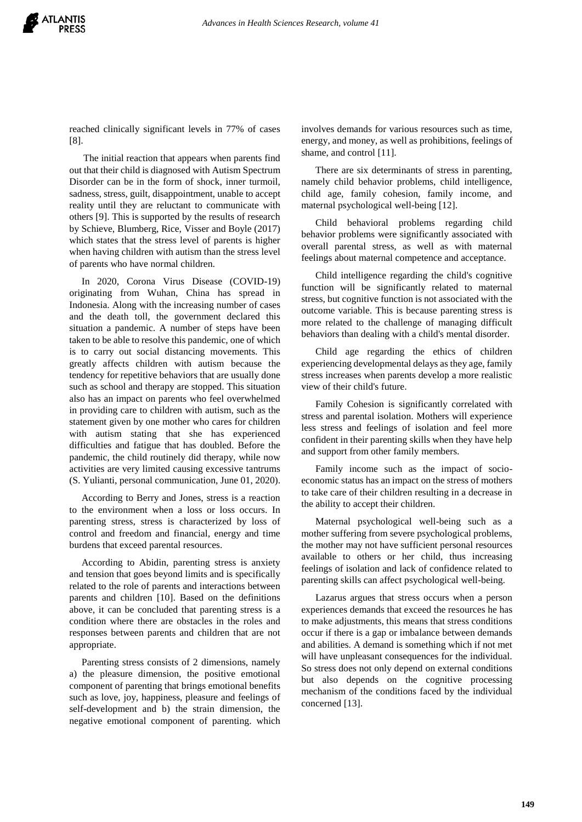reached clinically significant levels in 77% of cases [8].

The initial reaction that appears when parents find out that their child is diagnosed with Autism Spectrum Disorder can be in the form of shock, inner turmoil, sadness, stress, guilt, disappointment, unable to accept reality until they are reluctant to communicate with others [9]. This is supported by the results of research by Schieve, Blumberg, Rice, Visser and Boyle (2017) which states that the stress level of parents is higher when having children with autism than the stress level of parents who have normal children.

 In 2020, Corona Virus Disease (COVID-19) originating from Wuhan, China has spread in Indonesia. Along with the increasing number of cases and the death toll, the government declared this situation a pandemic. A number of steps have been taken to be able to resolve this pandemic, one of which is to carry out social distancing movements. This greatly affects children with autism because the tendency for repetitive behaviors that are usually done such as school and therapy are stopped. This situation also has an impact on parents who feel overwhelmed in providing care to children with autism, such as the statement given by one mother who cares for children with autism stating that she has experienced difficulties and fatigue that has doubled. Before the pandemic, the child routinely did therapy, while now activities are very limited causing excessive tantrums (S. Yulianti, personal communication, June 01, 2020).

 According to Berry and Jones, stress is a reaction to the environment when a loss or loss occurs. In parenting stress, stress is characterized by loss of control and freedom and financial, energy and time burdens that exceed parental resources.

 According to Abidin, parenting stress is anxiety and tension that goes beyond limits and is specifically related to the role of parents and interactions between parents and children [10]. Based on the definitions above, it can be concluded that parenting stress is a condition where there are obstacles in the roles and responses between parents and children that are not appropriate.

 Parenting stress consists of 2 dimensions, namely a) the pleasure dimension, the positive emotional component of parenting that brings emotional benefits such as love, joy, happiness, pleasure and feelings of self-development and b) the strain dimension, the negative emotional component of parenting. which

involves demands for various resources such as time, energy, and money, as well as prohibitions, feelings of shame, and control [11].

There are six determinants of stress in parenting, namely child behavior problems, child intelligence, child age, family cohesion, family income, and maternal psychological well-being [12].

Child behavioral problems regarding child behavior problems were significantly associated with overall parental stress, as well as with maternal feelings about maternal competence and acceptance.

Child intelligence regarding the child's cognitive function will be significantly related to maternal stress, but cognitive function is not associated with the outcome variable. This is because parenting stress is more related to the challenge of managing difficult behaviors than dealing with a child's mental disorder.

Child age regarding the ethics of children experiencing developmental delays as they age, family stress increases when parents develop a more realistic view of their child's future.

Family Cohesion is significantly correlated with stress and parental isolation. Mothers will experience less stress and feelings of isolation and feel more confident in their parenting skills when they have help and support from other family members.

Family income such as the impact of socioeconomic status has an impact on the stress of mothers to take care of their children resulting in a decrease in the ability to accept their children.

Maternal psychological well-being such as a mother suffering from severe psychological problems, the mother may not have sufficient personal resources available to others or her child, thus increasing feelings of isolation and lack of confidence related to parenting skills can affect psychological well-being.

Lazarus argues that stress occurs when a person experiences demands that exceed the resources he has to make adjustments, this means that stress conditions occur if there is a gap or imbalance between demands and abilities. A demand is something which if not met will have unpleasant consequences for the individual. So stress does not only depend on external conditions but also depends on the cognitive processing mechanism of the conditions faced by the individual concerned [13].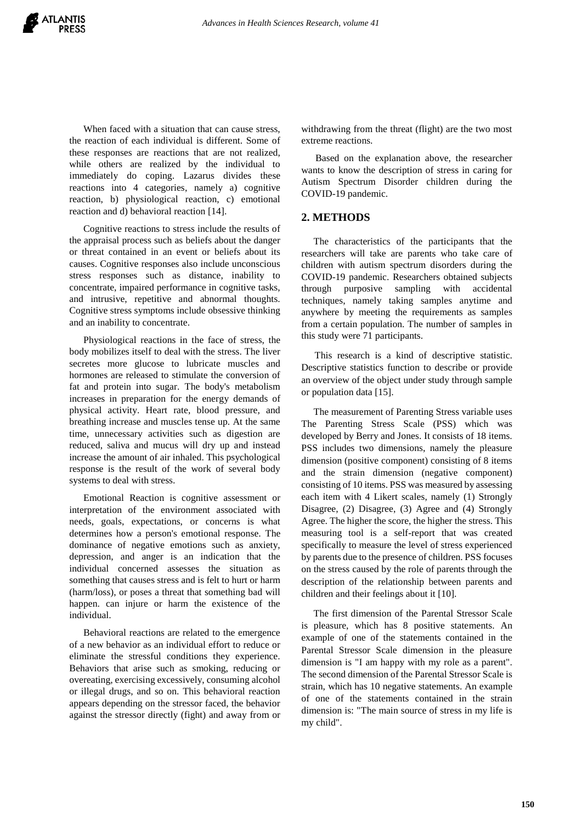

When faced with a situation that can cause stress, the reaction of each individual is different. Some of these responses are reactions that are not realized, while others are realized by the individual to immediately do coping. Lazarus divides these reactions into 4 categories, namely a) cognitive reaction, b) physiological reaction, c) emotional reaction and d) behavioral reaction [14].

Cognitive reactions to stress include the results of the appraisal process such as beliefs about the danger or threat contained in an event or beliefs about its causes. Cognitive responses also include unconscious stress responses such as distance, inability to concentrate, impaired performance in cognitive tasks, and intrusive, repetitive and abnormal thoughts. Cognitive stress symptoms include obsessive thinking and an inability to concentrate.

Physiological reactions in the face of stress, the body mobilizes itself to deal with the stress. The liver secretes more glucose to lubricate muscles and hormones are released to stimulate the conversion of fat and protein into sugar. The body's metabolism increases in preparation for the energy demands of physical activity. Heart rate, blood pressure, and breathing increase and muscles tense up. At the same time, unnecessary activities such as digestion are reduced, saliva and mucus will dry up and instead increase the amount of air inhaled. This psychological response is the result of the work of several body systems to deal with stress.

Emotional Reaction is cognitive assessment or interpretation of the environment associated with needs, goals, expectations, or concerns is what determines how a person's emotional response. The dominance of negative emotions such as anxiety, depression, and anger is an indication that the individual concerned assesses the situation as something that causes stress and is felt to hurt or harm (harm/loss), or poses a threat that something bad will happen. can injure or harm the existence of the individual.

Behavioral reactions are related to the emergence of a new behavior as an individual effort to reduce or eliminate the stressful conditions they experience. Behaviors that arise such as smoking, reducing or overeating, exercising excessively, consuming alcohol or illegal drugs, and so on. This behavioral reaction appears depending on the stressor faced, the behavior against the stressor directly (fight) and away from or withdrawing from the threat (flight) are the two most extreme reactions.

Based on the explanation above, the researcher wants to know the description of stress in caring for Autism Spectrum Disorder children during the COVID-19 pandemic.

#### **2. METHODS**

 The characteristics of the participants that the researchers will take are parents who take care of children with autism spectrum disorders during the COVID-19 pandemic. Researchers obtained subjects through purposive sampling with accidental techniques, namely taking samples anytime and anywhere by meeting the requirements as samples from a certain population. The number of samples in this study were 71 participants.

 This research is a kind of descriptive statistic. Descriptive statistics function to describe or provide an overview of the object under study through sample or population data [15].

 The measurement of Parenting Stress variable uses The Parenting Stress Scale (PSS) which was developed by Berry and Jones. It consists of 18 items. PSS includes two dimensions, namely the pleasure dimension (positive component) consisting of 8 items and the strain dimension (negative component) consisting of 10 items. PSS was measured by assessing each item with 4 Likert scales, namely (1) Strongly Disagree, (2) Disagree, (3) Agree and (4) Strongly Agree. The higher the score, the higher the stress. This measuring tool is a self-report that was created specifically to measure the level of stress experienced by parents due to the presence of children. PSS focuses on the stress caused by the role of parents through the description of the relationship between parents and children and their feelings about it [10].

 The first dimension of the Parental Stressor Scale is pleasure, which has 8 positive statements. An example of one of the statements contained in the Parental Stressor Scale dimension in the pleasure dimension is "I am happy with my role as a parent". The second dimension of the Parental Stressor Scale is strain, which has 10 negative statements. An example of one of the statements contained in the strain dimension is: "The main source of stress in my life is my child".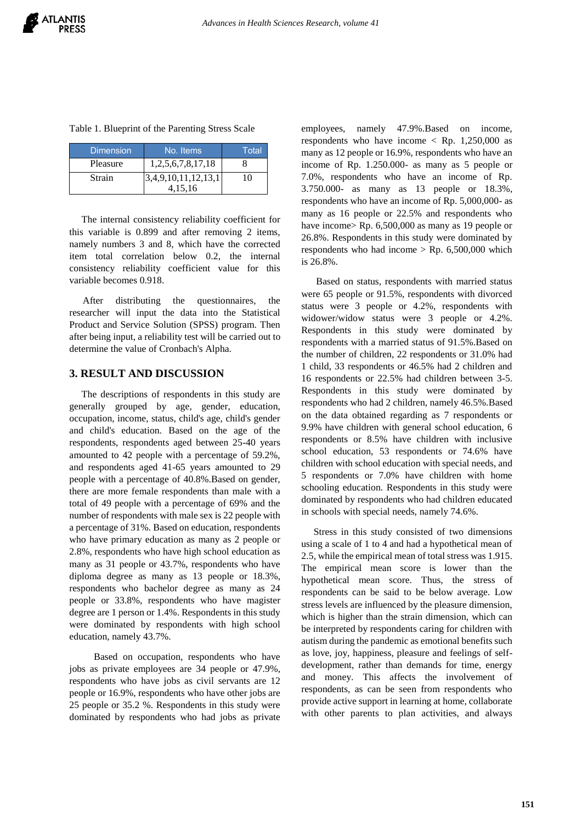|  |  |  |  |  | Table 1. Blueprint of the Parenting Stress Scale |  |  |
|--|--|--|--|--|--------------------------------------------------|--|--|
|--|--|--|--|--|--------------------------------------------------|--|--|

| <b>Dimension</b> | No. Items                      | Total |
|------------------|--------------------------------|-------|
| Pleasure         | 1,2,5,6,7,8,17,18              |       |
| Strain           | 3,4,9,10,11,12,13,1<br>4.15.16 | IO    |

 The internal consistency reliability coefficient for this variable is 0.899 and after removing 2 items, namely numbers 3 and 8, which have the corrected item total correlation below 0.2, the internal consistency reliability coefficient value for this variable becomes 0.918.

 After distributing the questionnaires, the researcher will input the data into the Statistical Product and Service Solution (SPSS) program. Then after being input, a reliability test will be carried out to determine the value of Cronbach's Alpha.

## **3. RESULT AND DISCUSSION**

 The descriptions of respondents in this study are generally grouped by age, gender, education, occupation, income, status, child's age, child's gender and child's education. Based on the age of the respondents, respondents aged between 25-40 years amounted to 42 people with a percentage of 59.2%, and respondents aged 41-65 years amounted to 29 people with a percentage of 40.8%.Based on gender, there are more female respondents than male with a total of 49 people with a percentage of 69% and the number of respondents with male sex is 22 people with a percentage of 31%. Based on education, respondents who have primary education as many as 2 people or 2.8%, respondents who have high school education as many as 31 people or 43.7%, respondents who have diploma degree as many as 13 people or 18.3%, respondents who bachelor degree as many as 24 people or 33.8%, respondents who have magister degree are 1 person or 1.4%. Respondents in this study were dominated by respondents with high school education, namely 43.7%.

 Based on occupation, respondents who have jobs as private employees are 34 people or 47.9%, respondents who have jobs as civil servants are 12 people or 16.9%, respondents who have other jobs are 25 people or 35.2 %. Respondents in this study were dominated by respondents who had jobs as private

employees, namely 47.9%.Based on income, respondents who have income < Rp. 1,250,000 as many as 12 people or 16.9%, respondents who have an income of Rp. 1.250.000- as many as 5 people or 7.0%, respondents who have an income of Rp. 3.750.000- as many as 13 people or 18.3%, respondents who have an income of Rp. 5,000,000- as many as 16 people or 22.5% and respondents who have income > Rp. 6,500,000 as many as 19 people or 26.8%. Respondents in this study were dominated by respondents who had income  $>$  Rp. 6,500,000 which is 26.8%.

 Based on status, respondents with married status were 65 people or 91.5%, respondents with divorced status were 3 people or 4.2%, respondents with widower/widow status were 3 people or 4.2%. Respondents in this study were dominated by respondents with a married status of 91.5%.Based on the number of children, 22 respondents or 31.0% had 1 child, 33 respondents or 46.5% had 2 children and 16 respondents or 22.5% had children between 3-5. Respondents in this study were dominated by respondents who had 2 children, namely 46.5%.Based on the data obtained regarding as 7 respondents or 9.9% have children with general school education, 6 respondents or 8.5% have children with inclusive school education, 53 respondents or 74.6% have children with school education with special needs, and 5 respondents or 7.0% have children with home schooling education. Respondents in this study were dominated by respondents who had children educated in schools with special needs, namely 74.6%.

 Stress in this study consisted of two dimensions using a scale of 1 to 4 and had a hypothetical mean of 2.5, while the empirical mean of total stress was 1.915. The empirical mean score is lower than the hypothetical mean score. Thus, the stress of respondents can be said to be below average. Low stress levels are influenced by the pleasure dimension, which is higher than the strain dimension, which can be interpreted by respondents caring for children with autism during the pandemic as emotional benefits such as love, joy, happiness, pleasure and feelings of selfdevelopment, rather than demands for time, energy and money. This affects the involvement of respondents, as can be seen from respondents who provide active support in learning at home, collaborate with other parents to plan activities, and always